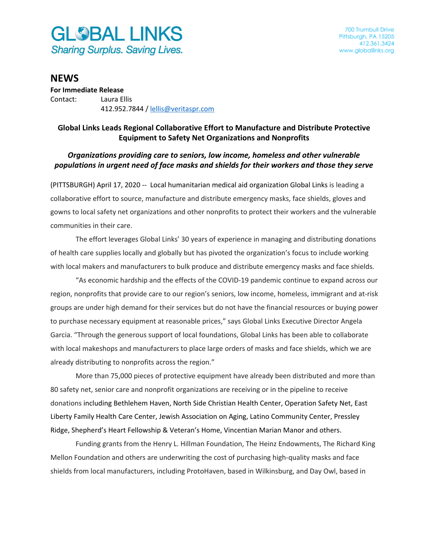

## **NEWS**

**For Immediate Release** Contact: Laura Ellis 412.952.7844 / [lellis@veritaspr.com](mailto:lellis@veritaspr.com)

## **Global Links Leads Regional Collaborative Effort to Manufacture and Distribute Protective Equipment to Safety Net Organizations and Nonprofits**

## *Organizations providing care to seniors, low income, homeless and other vulnerable populations in urgent need of face masks and shields for their workers and those they serve*

(PITTSBURGH) April 17, 2020 -- Local humanitarian medical aid organization Global Links is leading a collaborative effort to source, manufacture and distribute emergency masks, face shields, gloves and gowns to local safety net organizations and other nonprofits to protect their workers and the vulnerable communities in their care.

The effort leverages Global Links' 30 years of experience in managing and distributing donations of health care supplies locally and globally but has pivoted the organization's focus to include working with local makers and manufacturers to bulk produce and distribute emergency masks and face shields.

"As economic hardship and the effects of the COVID-19 pandemic continue to expand across our region, nonprofits that provide care to our region's seniors, low income, homeless, immigrant and at-risk groups are under high demand for their services but do not have the financial resources or buying power to purchase necessary equipment at reasonable prices," says Global Links Executive Director Angela Garcia. "Through the generous support of local foundations, Global Links has been able to collaborate with local makeshops and manufacturers to place large orders of masks and face shields, which we are already distributing to nonprofits across the region."

More than 75,000 pieces of protective equipment have already been distributed and more than 80 safety net, senior care and nonprofit organizations are receiving or in the pipeline to receive donations including Bethlehem Haven, North Side Christian Health Center, Operation Safety Net, East Liberty Family Health Care Center, Jewish Association on Aging, Latino Community Center, Pressley Ridge, Shepherd's Heart Fellowship & Veteran's Home, Vincentian Marian Manor and others.

Funding grants from the Henry L. Hillman Foundation, The Heinz Endowments, The Richard King Mellon Foundation and others are underwriting the cost of purchasing high-quality masks and face shields from local manufacturers, including ProtoHaven, based in Wilkinsburg, and Day Owl, based in